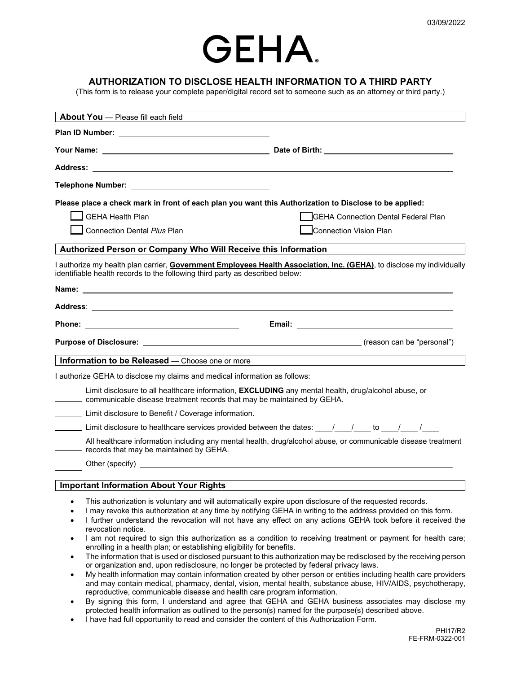

## **AUTHORIZATION TO DISCLOSE HEALTH INFORMATION TO A THIRD PARTY**

(This form is to release your complete paper/digital record set to someone such as an attorney or third party.)

| About You - Please fill each field                                                                                                                                                                                                                                                                                                                                                                                                                                                                                                                |                                                                                                                                                                                                                                                                                                                                                                                                                                                                                                                                                                                                                                                                                                                                                                                                                                                                                                                |  |
|---------------------------------------------------------------------------------------------------------------------------------------------------------------------------------------------------------------------------------------------------------------------------------------------------------------------------------------------------------------------------------------------------------------------------------------------------------------------------------------------------------------------------------------------------|----------------------------------------------------------------------------------------------------------------------------------------------------------------------------------------------------------------------------------------------------------------------------------------------------------------------------------------------------------------------------------------------------------------------------------------------------------------------------------------------------------------------------------------------------------------------------------------------------------------------------------------------------------------------------------------------------------------------------------------------------------------------------------------------------------------------------------------------------------------------------------------------------------------|--|
|                                                                                                                                                                                                                                                                                                                                                                                                                                                                                                                                                   |                                                                                                                                                                                                                                                                                                                                                                                                                                                                                                                                                                                                                                                                                                                                                                                                                                                                                                                |  |
|                                                                                                                                                                                                                                                                                                                                                                                                                                                                                                                                                   |                                                                                                                                                                                                                                                                                                                                                                                                                                                                                                                                                                                                                                                                                                                                                                                                                                                                                                                |  |
|                                                                                                                                                                                                                                                                                                                                                                                                                                                                                                                                                   |                                                                                                                                                                                                                                                                                                                                                                                                                                                                                                                                                                                                                                                                                                                                                                                                                                                                                                                |  |
| Telephone Number: ___________________________________                                                                                                                                                                                                                                                                                                                                                                                                                                                                                             |                                                                                                                                                                                                                                                                                                                                                                                                                                                                                                                                                                                                                                                                                                                                                                                                                                                                                                                |  |
| Please place a check mark in front of each plan you want this Authorization to Disclose to be applied:                                                                                                                                                                                                                                                                                                                                                                                                                                            |                                                                                                                                                                                                                                                                                                                                                                                                                                                                                                                                                                                                                                                                                                                                                                                                                                                                                                                |  |
| <b>GEHA Health Plan</b><br>GEHA Connection Dental Federal Plan                                                                                                                                                                                                                                                                                                                                                                                                                                                                                    |                                                                                                                                                                                                                                                                                                                                                                                                                                                                                                                                                                                                                                                                                                                                                                                                                                                                                                                |  |
| <b>Connection Dental Plus Plan</b>                                                                                                                                                                                                                                                                                                                                                                                                                                                                                                                | <b>Connection Vision Plan</b>                                                                                                                                                                                                                                                                                                                                                                                                                                                                                                                                                                                                                                                                                                                                                                                                                                                                                  |  |
| Authorized Person or Company Who Will Receive this Information                                                                                                                                                                                                                                                                                                                                                                                                                                                                                    |                                                                                                                                                                                                                                                                                                                                                                                                                                                                                                                                                                                                                                                                                                                                                                                                                                                                                                                |  |
| identifiable health records to the following third party as described below:                                                                                                                                                                                                                                                                                                                                                                                                                                                                      | I authorize my health plan carrier, Government Employees Health Association, Inc. (GEHA), to disclose my individually                                                                                                                                                                                                                                                                                                                                                                                                                                                                                                                                                                                                                                                                                                                                                                                          |  |
|                                                                                                                                                                                                                                                                                                                                                                                                                                                                                                                                                   |                                                                                                                                                                                                                                                                                                                                                                                                                                                                                                                                                                                                                                                                                                                                                                                                                                                                                                                |  |
|                                                                                                                                                                                                                                                                                                                                                                                                                                                                                                                                                   |                                                                                                                                                                                                                                                                                                                                                                                                                                                                                                                                                                                                                                                                                                                                                                                                                                                                                                                |  |
|                                                                                                                                                                                                                                                                                                                                                                                                                                                                                                                                                   |                                                                                                                                                                                                                                                                                                                                                                                                                                                                                                                                                                                                                                                                                                                                                                                                                                                                                                                |  |
|                                                                                                                                                                                                                                                                                                                                                                                                                                                                                                                                                   |                                                                                                                                                                                                                                                                                                                                                                                                                                                                                                                                                                                                                                                                                                                                                                                                                                                                                                                |  |
| Information to be Released - Choose one or more                                                                                                                                                                                                                                                                                                                                                                                                                                                                                                   |                                                                                                                                                                                                                                                                                                                                                                                                                                                                                                                                                                                                                                                                                                                                                                                                                                                                                                                |  |
| I authorize GEHA to disclose my claims and medical information as follows:                                                                                                                                                                                                                                                                                                                                                                                                                                                                        |                                                                                                                                                                                                                                                                                                                                                                                                                                                                                                                                                                                                                                                                                                                                                                                                                                                                                                                |  |
| Limit disclosure to all healthcare information, <b>EXCLUDING</b> any mental health, drug/alcohol abuse, or<br>communicable disease treatment records that may be maintained by GEHA.                                                                                                                                                                                                                                                                                                                                                              |                                                                                                                                                                                                                                                                                                                                                                                                                                                                                                                                                                                                                                                                                                                                                                                                                                                                                                                |  |
| Limit disclosure to Benefit / Coverage information.                                                                                                                                                                                                                                                                                                                                                                                                                                                                                               |                                                                                                                                                                                                                                                                                                                                                                                                                                                                                                                                                                                                                                                                                                                                                                                                                                                                                                                |  |
| Limit disclosure to healthcare services provided between the dates: $\frac{1}{1-\frac{1}{2-\frac{1}{2-\frac{1}{2-\frac{1}{2-\frac{1}{2-\frac{1}{2-\frac{1}{2-\frac{1}{2-\frac{1}{2-\frac{1}{2-\frac{1}{2-\frac{1}{2-\frac{1}{2-\frac{1}{2-\frac{1}{2-\frac{1}{2-\frac{1}{2-\frac{1}{2-\frac{1}{2-\frac{1}{2-\frac{1}{2-\frac{1}{2-\frac{1}{2-\frac{1}{2-\frac$                                                                                                                                                                                    |                                                                                                                                                                                                                                                                                                                                                                                                                                                                                                                                                                                                                                                                                                                                                                                                                                                                                                                |  |
| - records that may be maintained by GEHA.                                                                                                                                                                                                                                                                                                                                                                                                                                                                                                         | All healthcare information including any mental health, drug/alcohol abuse, or communicable disease treatment                                                                                                                                                                                                                                                                                                                                                                                                                                                                                                                                                                                                                                                                                                                                                                                                  |  |
|                                                                                                                                                                                                                                                                                                                                                                                                                                                                                                                                                   |                                                                                                                                                                                                                                                                                                                                                                                                                                                                                                                                                                                                                                                                                                                                                                                                                                                                                                                |  |
| <b>Important Information About Your Rights</b>                                                                                                                                                                                                                                                                                                                                                                                                                                                                                                    |                                                                                                                                                                                                                                                                                                                                                                                                                                                                                                                                                                                                                                                                                                                                                                                                                                                                                                                |  |
| This authorization is voluntary and will automatically expire upon disclosure of the requested records.<br>٠<br>$\bullet$<br>revocation notice.<br>$\bullet$<br>enrolling in a health plan; or establishing eligibility for benefits.<br>٠<br>or organization and, upon redisclosure, no longer be protected by federal privacy laws.<br>$\bullet$<br>reproductive, communicable disease and health care program information.<br>$\bullet$<br>protected health information as outlined to the person(s) named for the purpose(s) described above. | I may revoke this authorization at any time by notifying GEHA in writing to the address provided on this form.<br>I further understand the revocation will not have any effect on any actions GEHA took before it received the<br>I am not required to sign this authorization as a condition to receiving treatment or payment for health care;<br>The information that is used or disclosed pursuant to this authorization may be redisclosed by the receiving person<br>My health information may contain information created by other person or entities including health care providers<br>and may contain medical, pharmacy, dental, vision, mental health, substance abuse, HIV/AIDS, psychotherapy,<br>By signing this form, I understand and agree that GEHA and GEHA business associates may disclose my<br>I have had full opportunity to read and consider the content of this Authorization Form. |  |